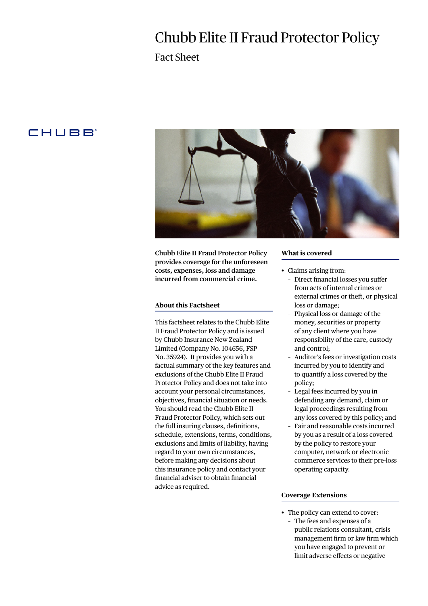# Chubb Elite II Fraud Protector Policy

Fact Sheet

### **CHUBB**



**Chubb Elite II Fraud Protector Policy provides coverage for the unforeseen costs, expenses, loss and damage incurred from commercial crime.**

#### **About this Factsheet**

This factsheet relates to the Chubb Elite II Fraud Protector Policy and is issued by Chubb Insurance New Zealand Limited (Company No. 104656, FSP No. 35924). It provides you with a factual summary of the key features and exclusions of the Chubb Elite II Fraud Protector Policy and does not take into account your personal circumstances, objectives, financial situation or needs. You should read the Chubb Elite II Fraud Protector Policy, which sets out the full insuring clauses, definitions, schedule, extensions, terms, conditions, exclusions and limits of liability, having regard to your own circumstances, before making any decisions about this insurance policy and contact your financial adviser to obtain financial advice as required.

#### **What is covered**

- Claims arising from:
	- Direct financial losses you suffer from acts of internal crimes or external crimes or theft, or physical loss or damage;
	- Physical loss or damage of the money, securities or property of any client where you have responsibility of the care, custody and control;
	- Auditor's fees or investigation costs incurred by you to identify and to quantify a loss covered by the policy;
	- Legal fees incurred by you in defending any demand, claim or legal proceedings resulting from any loss covered by this policy; and
	- Fair and reasonable costs incurred by you as a result of a loss covered by the policy to restore your computer, network or electronic commerce services to their pre-loss operating capacity.

#### **Coverage Extensions**

• The policy can extend to cover: – The fees and expenses of a public relations consultant, crisis management firm or law firm which you have engaged to prevent or limit adverse effects or negative